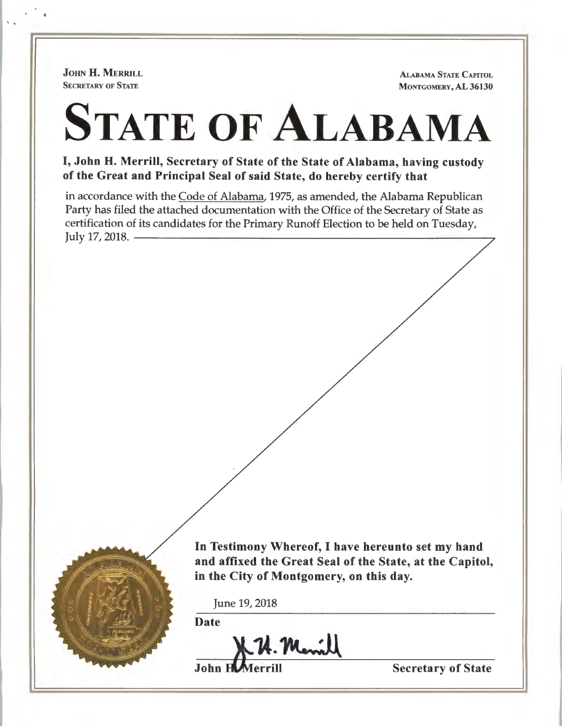JOHN H. MERRILL **SECRETARY OF STATE** 

''

ALABAMA STATE CAPITOL MONTGOMERY, AL 36130

# STATE OF **ALABAMA**

I, John H. Merrill, Secretary of State of the State of Alabama, having custody of the Great and Principal Seal of said State, do hereby certify that

in accordance with the Code of Alabama, 1975, as amended, the Alabama Republican Party has filed the attached documentation with the Office of the Secretary of State as rarty has med the attached documentation with the Office of the Secretary of State as<br>certification of its candidates for the Primary Runoff Election to be held on Tuesday,<br>July 17, 2018.



In Testimony Whereof, I have hereunto set my hand and affixed the Great Seal of the State, at the Capitol, in the City of Montgomery, on this day.

June 19, 2018

Date

**J. H. Menill**<br>Secretary of State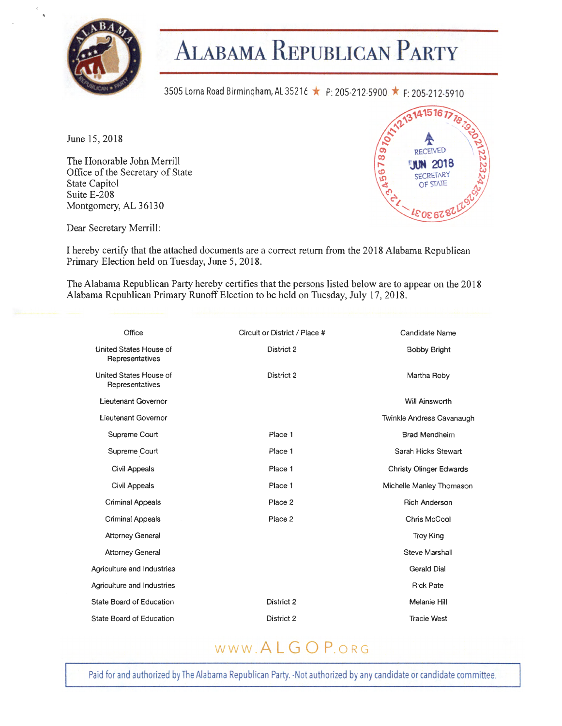

 $\sim$ 

# **ALABAMA REPUBLICAN p ARTY**

3505 Lorna Road Birmingham, AL 35216 ★ P: 205-212-5900 ★ F: 205-212-5910

June 15, 2018

The Honorable John Merrill Office of the Secretary of State State Capitol Suite E-208 Montgomery, AL 36130



Dear Secretary Merrill:

I hereby certify that the attached documents are a correct return from the 2018 Alabama Republican Primary Election held on Tuesday, June 5, 2018.

The Alabama Republican Party hereby certifies that the persons listed below are to appear on the 2018 Alabama Republican Primary Runoff Election to be held on Tuesday, July 17, 2018.

| Office                                    | Circuit or District / Place # | <b>Candidate Name</b>          |
|-------------------------------------------|-------------------------------|--------------------------------|
| United States House of<br>Representatives | District 2                    | <b>Bobby Bright</b>            |
| United States House of<br>Representatives | District 2                    | Martha Roby                    |
| Lieutenant Governor                       |                               | <b>Will Ainsworth</b>          |
| Lieutenant Governor                       |                               | Twinkle Andress Cavanaugh      |
| Supreme Court                             | Place 1                       | <b>Brad Mendheim</b>           |
| Supreme Court                             | Place 1                       | Sarah Hicks Stewart            |
| Civil Appeals                             | Place 1                       | <b>Christy Olinger Edwards</b> |
| Civil Appeals                             | Place 1                       | Michelle Manley Thomason       |
| <b>Criminal Appeals</b>                   | Place 2                       | <b>Rich Anderson</b>           |
| <b>Criminal Appeals</b>                   | Place 2                       | Chris McCool                   |
| <b>Attorney General</b>                   |                               | <b>Troy King</b>               |
| <b>Attorney General</b>                   |                               | Steve Marshall                 |
| Agriculture and Industries                |                               | <b>Gerald Dial</b>             |
| Agriculture and Industries                |                               | <b>Rick Pate</b>               |
| <b>State Board of Education</b>           | District 2                    | Melanie Hill                   |
| State Board of Education                  | District 2                    | <b>Tracie West</b>             |
|                                           |                               |                                |

## WWW **ALGOP.ORG**

Paid for and authorized by The Alabama Republican Party. -Not authorized by any candidate or candidate committee.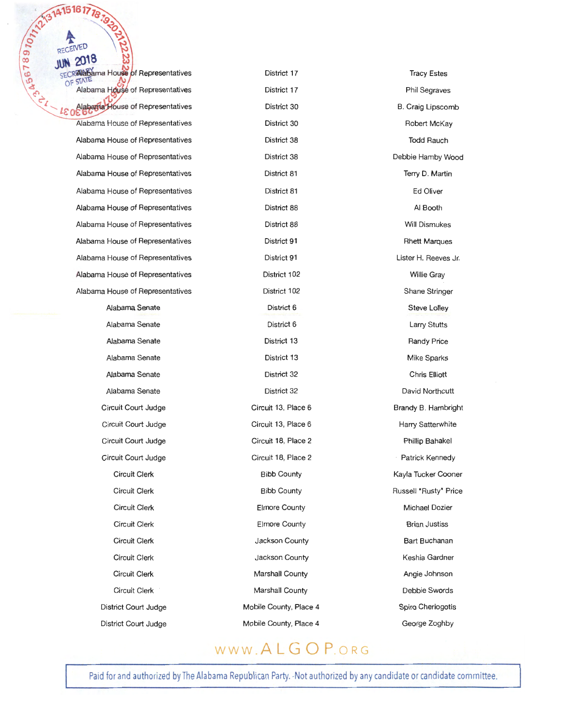ALABAMA House of Representatives ama House of Representatives Alabama House of Representatives **Alabama House of Representatives** Alabama House of Representatives Alabama House of Representatives Alabama House of Representatives Alabama House of Representatives Alabama House of Representatives Alabama House of Representatives Alabama House of Representatives Alabama House of Representatives Alabama House of Representatives Alabama House of Representatives

> Alabama Senate Alabama Senate Alabama Senate Alabama Senate Alabama Senate Alabama Senate Circuit Court Judge Circuit Court Judge Circuit Court Judge Circuit Court Judge Circuit Clerk Circuit Clerk Circuit Clerk Circuit Clerk Circuit Clerk Circuit Clerk Circuit Clerk Circuit Clerk District Court Judge District Court Judge

District 17 District 17 District 30 District 30 District 38 District 38 District 81 District 81 District 88 District 88 District 91 District 91 District 102 District 102 District 6 District 6 District 13 District 13 District 32 District 32 Circuit 13, Place 6 Circuit 13, Place 6 Circuit 18, Place 2 Circuit 18, Place 2 Bibb County Bibb County Elmore County Elmore County Jackson County Jackson County Marshall County Marshall County Mobile County, Place 4 Mobile County, Place 4

Tracy Estes Phil Segraves 8. Craig Lipscomb Robert McKay Todd Rauch Debbie Hamby Wood Terry D. Martin Ed Oliver Al Booth Will Dismukes Rhett Marques Lister H. Reeves Jr. Willie Gray Shane Stringer Steve Lolley Larry Stutts Randy Price Mike Sparks Chris Elliott David Northcutt Brandy 8. Hambright Harry Satterwhite Phillip Bahakel Patrick Kennedy Kayla Tucker Cooner Russell 'Rusty' Price Michael Dozier Brian Justiss Bart Buchanan Keshia Gardner Angie Johnson Debbie Swords Spiro Cheriogotis George Zoghby

#### www .ALGOP.oRG

Paid for and authorized by The Alabama Republican Party. -Not authorized by any candidate or candidate committee.